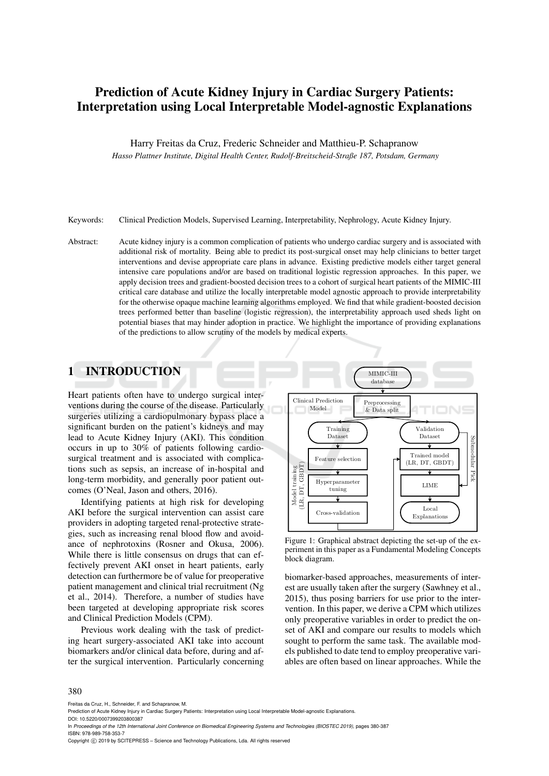# Prediction of Acute Kidney Injury in Cardiac Surgery Patients: Interpretation using Local Interpretable Model-agnostic Explanations

Harry Freitas da Cruz, Frederic Schneider and Matthieu-P. Schapranow

*Hasso Plattner Institute, Digital Health Center, Rudolf-Breitscheid-Straße 187, Potsdam, Germany*

Keywords: Clinical Prediction Models, Supervised Learning, Interpretability, Nephrology, Acute Kidney Injury.

Abstract: Acute kidney injury is a common complication of patients who undergo cardiac surgery and is associated with additional risk of mortality. Being able to predict its post-surgical onset may help clinicians to better target interventions and devise appropriate care plans in advance. Existing predictive models either target general intensive care populations and/or are based on traditional logistic regression approaches. In this paper, we apply decision trees and gradient-boosted decision trees to a cohort of surgical heart patients of the MIMIC-III critical care database and utilize the locally interpretable model agnostic approach to provide interpretability for the otherwise opaque machine learning algorithms employed. We find that while gradient-boosted decision trees performed better than baseline (logistic regression), the interpretability approach used sheds light on potential biases that may hinder adoption in practice. We highlight the importance of providing explanations of the predictions to allow scrutiny of the models by medical experts.

## 1 INTRODUCTION

Heart patients often have to undergo surgical interventions during the course of the disease. Particularly surgeries utilizing a cardiopulmonary bypass place a significant burden on the patient's kidneys and may lead to Acute Kidney Injury (AKI). This condition occurs in up to 30% of patients following cardiosurgical treatment and is associated with complications such as sepsis, an increase of in-hospital and long-term morbidity, and generally poor patient outcomes (O'Neal, Jason and others, 2016).

Identifying patients at high risk for developing AKI before the surgical intervention can assist care providers in adopting targeted renal-protective strategies, such as increasing renal blood flow and avoidance of nephrotoxins (Rosner and Okusa, 2006). While there is little consensus on drugs that can effectively prevent AKI onset in heart patients, early detection can furthermore be of value for preoperative patient management and clinical trial recruitment (Ng et al., 2014). Therefore, a number of studies have been targeted at developing appropriate risk scores and Clinical Prediction Models (CPM).

Previous work dealing with the task of predicting heart surgery-associated AKI take into account biomarkers and/or clinical data before, during and after the surgical intervention. Particularly concerning



Figure 1: Graphical abstract depicting the set-up of the experiment in this paper as a Fundamental Modeling Concepts block diagram.

biomarker-based approaches, measurements of interest are usually taken after the surgery (Sawhney et al., 2015), thus posing barriers for use prior to the intervention. In this paper, we derive a CPM which utilizes only preoperative variables in order to predict the onset of AKI and compare our results to models which sought to perform the same task. The available models published to date tend to employ preoperative variables are often based on linear approaches. While the

#### 380

Freitas da Cruz, H., Schneider, F. and Schapranow, M.

Copyright (C) 2019 by SCITEPRESS - Science and Technology Publications, Lda. All rights reserved

Prediction of Acute Kidney Injury in Cardiac Surgery Patients: Interpretation using Local Interpretable Model-agnostic Explanations DOI: 10.5220/0007399203800387

In *Proceedings of the 12th International Joint Conference on Biomedical Engineering Systems and Technologies (BIOSTEC 2019)*, pages 380-387 ISBN: 978-989-758-353-7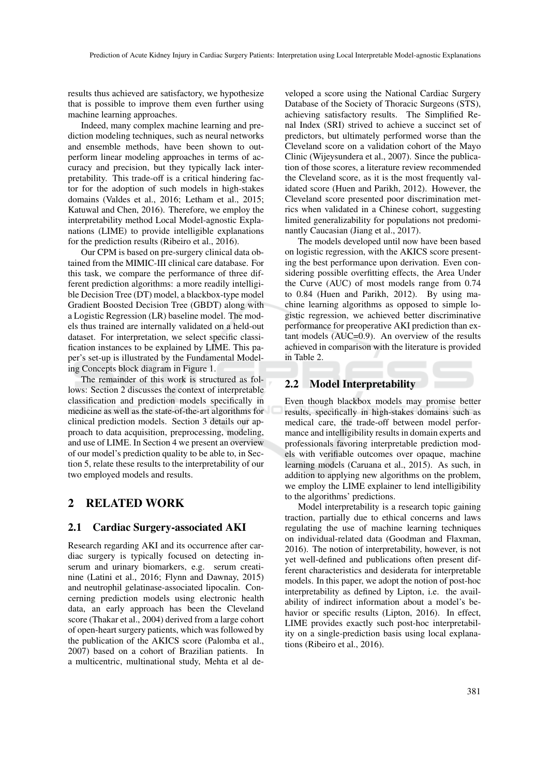results thus achieved are satisfactory, we hypothesize that is possible to improve them even further using machine learning approaches.

Indeed, many complex machine learning and prediction modeling techniques, such as neural networks and ensemble methods, have been shown to outperform linear modeling approaches in terms of accuracy and precision, but they typically lack interpretability. This trade-off is a critical hindering factor for the adoption of such models in high-stakes domains (Valdes et al., 2016; Letham et al., 2015; Katuwal and Chen, 2016). Therefore, we employ the interpretability method Local Model-agnostic Explanations (LIME) to provide intelligible explanations for the prediction results (Ribeiro et al., 2016).

Our CPM is based on pre-surgery clinical data obtained from the MIMIC-III clinical care database. For this task, we compare the performance of three different prediction algorithms: a more readily intelligible Decision Tree (DT) model, a blackbox-type model Gradient Boosted Decision Tree (GBDT) along with a Logistic Regression (LR) baseline model. The models thus trained are internally validated on a held-out dataset. For interpretation, we select specific classification instances to be explained by LIME. This paper's set-up is illustrated by the Fundamental Modeling Concepts block diagram in Figure 1.

The remainder of this work is structured as follows: Section 2 discusses the context of interpretable classification and prediction models specifically in medicine as well as the state-of-the-art algorithms for clinical prediction models. Section 3 details our approach to data acquisition, preprocessing, modeling, and use of LIME. In Section 4 we present an overview of our model's prediction quality to be able to, in Section 5, relate these results to the interpretability of our two employed models and results.

### 2 RELATED WORK

#### 2.1 Cardiac Surgery-associated AKI

Research regarding AKI and its occurrence after cardiac surgery is typically focused on detecting inserum and urinary biomarkers, e.g. serum creatinine (Latini et al., 2016; Flynn and Dawnay, 2015) and neutrophil gelatinase-associated lipocalin. Concerning prediction models using electronic health data, an early approach has been the Cleveland score (Thakar et al., 2004) derived from a large cohort of open-heart surgery patients, which was followed by the publication of the AKICS score (Palomba et al., 2007) based on a cohort of Brazilian patients. In a multicentric, multinational study, Mehta et al de-

veloped a score using the National Cardiac Surgery Database of the Society of Thoracic Surgeons (STS), achieving satisfactory results. The Simplified Renal Index (SRI) strived to achieve a succinct set of predictors, but ultimately performed worse than the Cleveland score on a validation cohort of the Mayo Clinic (Wijeysundera et al., 2007). Since the publication of those scores, a literature review recommended the Cleveland score, as it is the most frequently validated score (Huen and Parikh, 2012). However, the Cleveland score presented poor discrimination metrics when validated in a Chinese cohort, suggesting limited generalizability for populations not predominantly Caucasian (Jiang et al., 2017).

The models developed until now have been based on logistic regression, with the AKICS score presenting the best performance upon derivation. Even considering possible overfitting effects, the Area Under the Curve (AUC) of most models range from 0.74 to 0.84 (Huen and Parikh, 2012). By using machine learning algorithms as opposed to simple logistic regression, we achieved better discriminative performance for preoperative AKI prediction than extant models (AUC=0.9). An overview of the results achieved in comparison with the literature is provided in Table 2.

### 2.2 Model Interpretability

Even though blackbox models may promise better results, specifically in high-stakes domains such as medical care, the trade-off between model performance and intelligibility results in domain experts and professionals favoring interpretable prediction models with verifiable outcomes over opaque, machine learning models (Caruana et al., 2015). As such, in addition to applying new algorithms on the problem, we employ the LIME explainer to lend intelligibility to the algorithms' predictions.

Model interpretability is a research topic gaining traction, partially due to ethical concerns and laws regulating the use of machine learning techniques on individual-related data (Goodman and Flaxman, 2016). The notion of interpretability, however, is not yet well-defined and publications often present different characteristics and desiderata for interpretable models. In this paper, we adopt the notion of post-hoc interpretability as defined by Lipton, i.e. the availability of indirect information about a model's behavior or specific results (Lipton, 2016). In effect, LIME provides exactly such post-hoc interpretability on a single-prediction basis using local explanations (Ribeiro et al., 2016).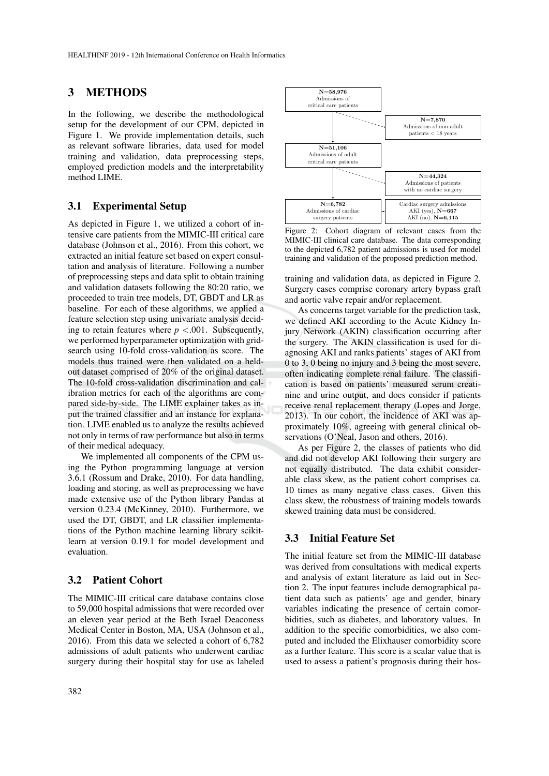### 3 METHODS

In the following, we describe the methodological setup for the development of our CPM, depicted in Figure 1. We provide implementation details, such as relevant software libraries, data used for model training and validation, data preprocessing steps, employed prediction models and the interpretability method LIME.

#### 3.1 Experimental Setup

As depicted in Figure 1, we utilized a cohort of intensive care patients from the MIMIC-III critical care database (Johnson et al., 2016). From this cohort, we extracted an initial feature set based on expert consultation and analysis of literature. Following a number of preprocessing steps and data split to obtain training and validation datasets following the 80:20 ratio, we proceeded to train tree models, DT, GBDT and LR as baseline. For each of these algorithms, we applied a feature selection step using univariate analysis deciding to retain features where  $p < .001$ . Subsequently, we performed hyperparameter optimization with gridsearch using 10-fold cross-validation as score. The models thus trained were then validated on a heldout dataset comprised of 20% of the original dataset. The 10-fold cross-validation discrimination and calibration metrics for each of the algorithms are compared side-by-side. The LIME explainer takes as input the trained classifier and an instance for explanation. LIME enabled us to analyze the results achieved not only in terms of raw performance but also in terms of their medical adequacy.

We implemented all components of the CPM using the Python programming language at version 3.6.1 (Rossum and Drake, 2010). For data handling, loading and storing, as well as preprocessing we have made extensive use of the Python library Pandas at version 0.23.4 (McKinney, 2010). Furthermore, we used the DT, GBDT, and LR classifier implementations of the Python machine learning library scikitlearn at version 0.19.1 for model development and evaluation.

#### 3.2 Patient Cohort

The MIMIC-III critical care database contains close to 59,000 hospital admissions that were recorded over an eleven year period at the Beth Israel Deaconess Medical Center in Boston, MA, USA (Johnson et al., 2016). From this data we selected a cohort of 6,782 admissions of adult patients who underwent cardiac surgery during their hospital stay for use as labeled



Figure 2: Cohort diagram of relevant cases from the MIMIC-III clinical care database. The data corresponding to the depicted 6,782 patient admissions is used for model training and validation of the proposed prediction method.

training and validation data, as depicted in Figure 2. Surgery cases comprise coronary artery bypass graft and aortic valve repair and/or replacement.

As concerns target variable for the prediction task, we defined AKI according to the Acute Kidney Injury Network (AKIN) classification occurring after the surgery. The AKIN classification is used for diagnosing AKI and ranks patients' stages of AKI from 0 to 3, 0 being no injury and 3 being the most severe, often indicating complete renal failure. The classification is based on patients' measured serum creatinine and urine output, and does consider if patients receive renal replacement therapy (Lopes and Jorge, 2013). In our cohort, the incidence of AKI was approximately 10%, agreeing with general clinical observations (O'Neal, Jason and others, 2016).

As per Figure 2, the classes of patients who did and did not develop AKI following their surgery are not equally distributed. The data exhibit considerable class skew, as the patient cohort comprises ca. 10 times as many negative class cases. Given this class skew, the robustness of training models towards skewed training data must be considered.

#### 3.3 Initial Feature Set

The initial feature set from the MIMIC-III database was derived from consultations with medical experts and analysis of extant literature as laid out in Section 2. The input features include demographical patient data such as patients' age and gender, binary variables indicating the presence of certain comorbidities, such as diabetes, and laboratory values. In addition to the specific comorbidities, we also computed and included the Elixhauser comorbidity score as a further feature. This score is a scalar value that is used to assess a patient's prognosis during their hos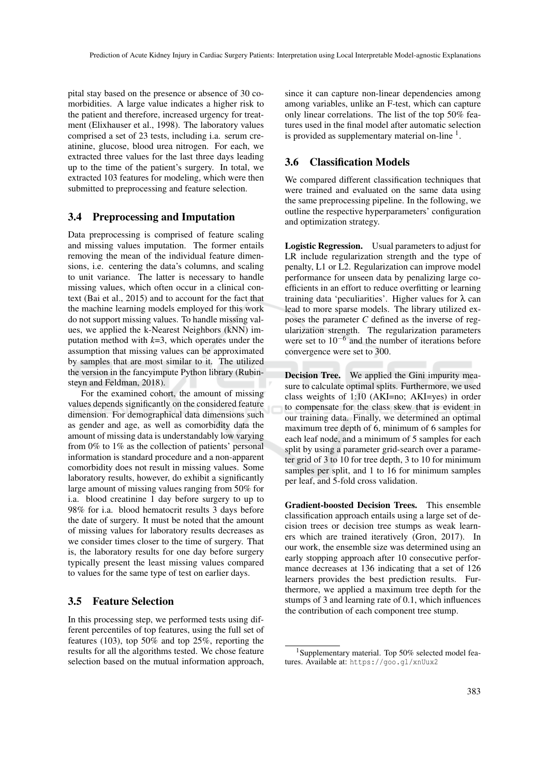pital stay based on the presence or absence of 30 comorbidities. A large value indicates a higher risk to the patient and therefore, increased urgency for treatment (Elixhauser et al., 1998). The laboratory values comprised a set of 23 tests, including i.a. serum creatinine, glucose, blood urea nitrogen. For each, we extracted three values for the last three days leading up to the time of the patient's surgery. In total, we extracted 103 features for modeling, which were then submitted to preprocessing and feature selection.

#### 3.4 Preprocessing and Imputation

Data preprocessing is comprised of feature scaling and missing values imputation. The former entails removing the mean of the individual feature dimensions, i.e. centering the data's columns, and scaling to unit variance. The latter is necessary to handle missing values, which often occur in a clinical context (Bai et al., 2015) and to account for the fact that the machine learning models employed for this work do not support missing values. To handle missing values, we applied the k-Nearest Neighbors (kNN) imputation method with *k*=3, which operates under the assumption that missing values can be approximated by samples that are most similar to it. The utilized the version in the fancyimpute Python library (Rubinsteyn and Feldman, 2018).

For the examined cohort, the amount of missing values depends significantly on the considered feature dimension. For demographical data dimensions such as gender and age, as well as comorbidity data the amount of missing data is understandably low varying from 0% to 1% as the collection of patients' personal information is standard procedure and a non-apparent comorbidity does not result in missing values. Some laboratory results, however, do exhibit a significantly large amount of missing values ranging from 50% for i.a. blood creatinine 1 day before surgery to up to 98% for i.a. blood hematocrit results 3 days before the date of surgery. It must be noted that the amount of missing values for laboratory results decreases as we consider times closer to the time of surgery. That is, the laboratory results for one day before surgery typically present the least missing values compared to values for the same type of test on earlier days.

### 3.5 Feature Selection

In this processing step, we performed tests using different percentiles of top features, using the full set of features (103), top 50% and top 25%, reporting the results for all the algorithms tested. We chose feature selection based on the mutual information approach,

since it can capture non-linear dependencies among among variables, unlike an F-test, which can capture only linear correlations. The list of the top 50% features used in the final model after automatic selection is provided as supplementary material on-line  $<sup>1</sup>$ .</sup>

#### 3.6 Classification Models

We compared different classification techniques that were trained and evaluated on the same data using the same preprocessing pipeline. In the following, we outline the respective hyperparameters' configuration and optimization strategy.

Logistic Regression. Usual parameters to adjust for LR include regularization strength and the type of penalty, L1 or L2. Regularization can improve model performance for unseen data by penalizing large coefficients in an effort to reduce overfitting or learning training data 'peculiarities'. Higher values for  $\lambda$  can lead to more sparse models. The library utilized exposes the parameter *C* defined as the inverse of regularization strength. The regularization parameters were set to 10−<sup>6</sup> and the number of iterations before convergence were set to 300.

Decision Tree. We applied the Gini impurity measure to calculate optimal splits. Furthermore, we used class weights of 1:10 (AKI=no; AKI=yes) in order to compensate for the class skew that is evident in our training data. Finally, we determined an optimal maximum tree depth of 6, minimum of 6 samples for each leaf node, and a minimum of 5 samples for each split by using a parameter grid-search over a parameter grid of 3 to 10 for tree depth, 3 to 10 for minimum samples per split, and 1 to 16 for minimum samples per leaf, and 5-fold cross validation.

Gradient-boosted Decision Trees. This ensemble classification approach entails using a large set of decision trees or decision tree stumps as weak learners which are trained iteratively (Gron, 2017). In our work, the ensemble size was determined using an early stopping approach after 10 consecutive performance decreases at 136 indicating that a set of 126 learners provides the best prediction results. Furthermore, we applied a maximum tree depth for the stumps of 3 and learning rate of 0.1, which influences the contribution of each component tree stump.

<sup>1</sup>Supplementary material. Top 50% selected model features. Available at: https://goo.gl/xnUux2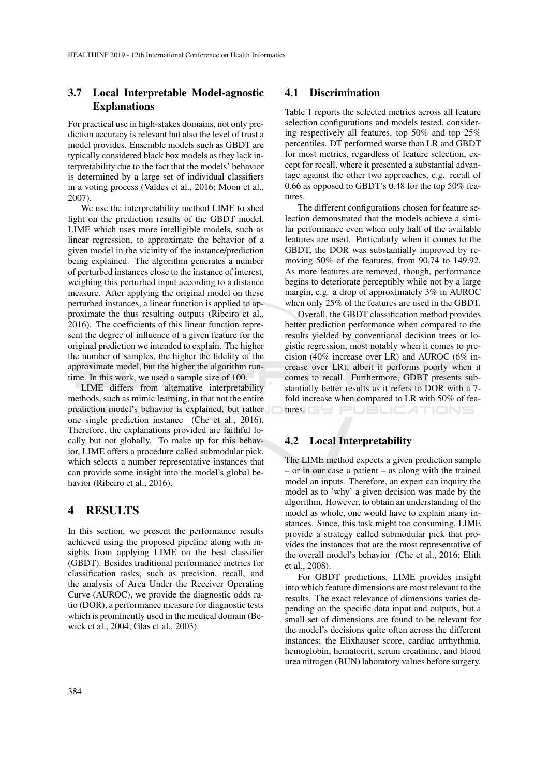### 3.7 Local Interpretable Model-agnostic Explanations

For practical use in high-stakes domains, not only prediction accuracy is relevant but also the level of trust a model provides. Ensemble models such as GBDT are typically considered black box models as they lack interpretability due to the fact that the models' behavior is determined by a large set of individual classifiers in a voting process (Valdes et al., 2016; Moon et al., 2007).

We use the interpretability method LIME to shed light on the prediction results of the GBDT model. LIME which uses more intelligible models, such as linear regression, to approximate the behavior of a given model in the vicinity of the instance/prediction being explained. The algorithm generates a number of perturbed instances close to the instance of interest, weighing this perturbed input according to a distance measure. After applying the original model on these perturbed instances, a linear function is applied to approximate the thus resulting outputs (Ribeiro et al., 2016). The coefficients of this linear function represent the degree of influence of a given feature for the original prediction we intended to explain. The higher the number of samples, the higher the fidelity of the approximate model, but the higher the algorithm runtime. In this work, we used a sample size of 100.

LIME differs from alternative interpretability methods, such as mimic learning, in that not the entire prediction model's behavior is explained, but rather one single prediction instance (Che et al., 2016). Therefore, the explanations provided are faithful locally but not globally. To make up for this behavior, LIME offers a procedure called submodular pick, which selects a number representative instances that can provide some insight into the model's global behavior (Ribeiro et al., 2016).

### 4 RESULTS

In this section, we present the performance results achieved using the proposed pipeline along with insights from applying LIME on the best classifier (GBDT). Besides traditional performance metrics for classification tasks, such as precision, recall, and the analysis of Area Under the Receiver Operating Curve (AUROC), we provide the diagnostic odds ratio (DOR), a performance measure for diagnostic tests which is prominently used in the medical domain (Bewick et al., 2004; Glas et al., 2003).

#### 4.1 Discrimination

Table 1 reports the selected metrics across all feature selection configurations and models tested, considering respectively all features, top 50% and top 25% percentiles. DT performed worse than LR and GBDT for most metrics, regardless of feature selection, except for recall, where it presented a substantial advantage against the other two approaches, e.g. recall of 0.66 as opposed to GBDT's 0.48 for the top 50% features.

The different configurations chosen for feature selection demonstrated that the models achieve a similar performance even when only half of the available features are used. Particularly when it comes to the GBDT, the DOR was substantially improved by removing 50% of the features, from 90.74 to 149.92. As more features are removed, though, performance begins to deteriorate perceptibly while not by a large margin, e.g. a drop of approximately 3% in AUROC when only 25% of the features are used in the GBDT.

Overall, the GBDT classification method provides better prediction performance when compared to the results yielded by conventional decision trees or logistic regression, most notably when it comes to precision (40% increase over LR) and AUROC (6% increase over LR), albeit it performs poorly when it comes to recall. Furthermore, GDBT presents substantially better results as it refers to DOR with a 7 fold increase when compared to LR with 50% of features. GY PUBLICATIONS

### 4.2 Local Interpretability

The LIME method expects a given prediction sample – or in our case a patient – as along with the trained model an inputs. Therefore, an expert can inquiry the model as to 'why' a given decision was made by the algorithm. However, to obtain an understanding of the model as whole, one would have to explain many instances. Since, this task might too consuming, LIME provide a strategy called submodular pick that provides the instances that are the most representative of the overall model's behavior (Che et al., 2016; Elith et al., 2008).

For GBDT predictions, LIME provides insight into which feature dimensions are most relevant to the results. The exact relevance of dimensions varies depending on the specific data input and outputs, but a small set of dimensions are found to be relevant for the model's decisions quite often across the different instances; the Elixhauser score, cardiac arrhythmia, hemoglobin, hematocrit, serum creatinine, and blood urea nitrogen (BUN) laboratory values before surgery.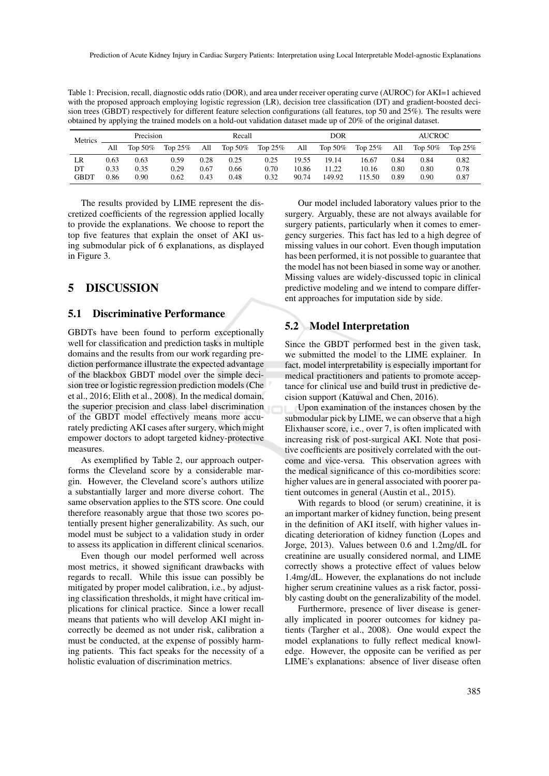Table 1: Precision, recall, diagnostic odds ratio (DOR), and area under receiver operating curve (AUROC) for AKI=1 achieved with the proposed approach employing logistic regression (LR), decision tree classification (DT) and gradient-boosted decision trees (GBDT) respectively for different feature selection configurations (all features, top 50 and 25%). The results were obtained by applying the trained models on a hold-out validation dataset made up of 20% of the original dataset.

| Metrics     | Precision |            |            | Recall |            |            | DOR   |            |         | <b>AUCROC</b> |         |            |
|-------------|-----------|------------|------------|--------|------------|------------|-------|------------|---------|---------------|---------|------------|
|             | All       | Top $50\%$ | Top $25\%$ | All    | Top $50\%$ | Top $25\%$ | All   | Top $50\%$ | Top 25% | All           | Top 50% | Top $25\%$ |
| LR          | 0.63      | 0.63       | 0.59       | 0.28   | 0.25       | 0.25       | 19.55 | 19.14      | 16.67   | 0.84          | 0.84    | 0.82       |
| DT          | 0.33      | 0.35       | 0.29       | 0.67   | 0.66       | 0.70       | 10.86 | 11.22      | 10.16   | 0.80          | 0.80    | 0.78       |
| <b>GBDT</b> | 0.86      | 0.90       | 0.62       | 0.43   | 0.48       | 0.32       | 90.74 | 149.92     | 115.50  | 0.89          | 0.90    | 0.87       |

The results provided by LIME represent the discretized coefficients of the regression applied locally to provide the explanations. We choose to report the top five features that explain the onset of AKI using submodular pick of 6 explanations, as displayed in Figure 3.

### 5 DISCUSSION

#### 5.1 Discriminative Performance

GBDTs have been found to perform exceptionally well for classification and prediction tasks in multiple domains and the results from our work regarding prediction performance illustrate the expected advantage of the blackbox GBDT model over the simple decision tree or logistic regression prediction models (Che et al., 2016; Elith et al., 2008). In the medical domain, the superior precision and class label discrimination of the GBDT model effectively means more accurately predicting AKI cases after surgery, which might empower doctors to adopt targeted kidney-protective measures.

As exemplified by Table 2, our approach outperforms the Cleveland score by a considerable margin. However, the Cleveland score's authors utilize a substantially larger and more diverse cohort. The same observation applies to the STS score. One could therefore reasonably argue that those two scores potentially present higher generalizability. As such, our model must be subject to a validation study in order to assess its application in different clinical scenarios.

Even though our model performed well across most metrics, it showed significant drawbacks with regards to recall. While this issue can possibly be mitigated by proper model calibration, i.e., by adjusting classification thresholds, it might have critical implications for clinical practice. Since a lower recall means that patients who will develop AKI might incorrectly be deemed as not under risk, calibration a must be conducted, at the expense of possibly harming patients. This fact speaks for the necessity of a holistic evaluation of discrimination metrics.

Our model included laboratory values prior to the surgery. Arguably, these are not always available for surgery patients, particularly when it comes to emergency surgeries. This fact has led to a high degree of missing values in our cohort. Even though imputation has been performed, it is not possible to guarantee that the model has not been biased in some way or another. Missing values are widely-discussed topic in clinical predictive modeling and we intend to compare different approaches for imputation side by side.

#### 5.2 Model Interpretation

Since the GBDT performed best in the given task, we submitted the model to the LIME explainer. In fact, model interpretability is especially important for medical practitioners and patients to promote acceptance for clinical use and build trust in predictive decision support (Katuwal and Chen, 2016).

Upon examination of the instances chosen by the submodular pick by LIME, we can observe that a high Elixhauser score, i.e., over 7, is often implicated with increasing risk of post-surgical AKI. Note that positive coefficients are positively correlated with the outcome and vice-versa. This observation agrees with the medical significance of this co-mordibities score: higher values are in general associated with poorer patient outcomes in general (Austin et al., 2015).

With regards to blood (or serum) creatinine, it is an important marker of kidney function, being present in the definition of AKI itself, with higher values indicating deterioration of kidney function (Lopes and Jorge, 2013). Values between 0.6 and 1.2mg/dL for creatinine are usually considered normal, and LIME correctly shows a protective effect of values below 1.4mg/dL. However, the explanations do not include higher serum creatinine values as a risk factor, possibly casting doubt on the generalizability of the model.

Furthermore, presence of liver disease is generally implicated in poorer outcomes for kidney patients (Targher et al., 2008). One would expect the model explanations to fully reflect medical knowledge. However, the opposite can be verified as per LIME's explanations: absence of liver disease often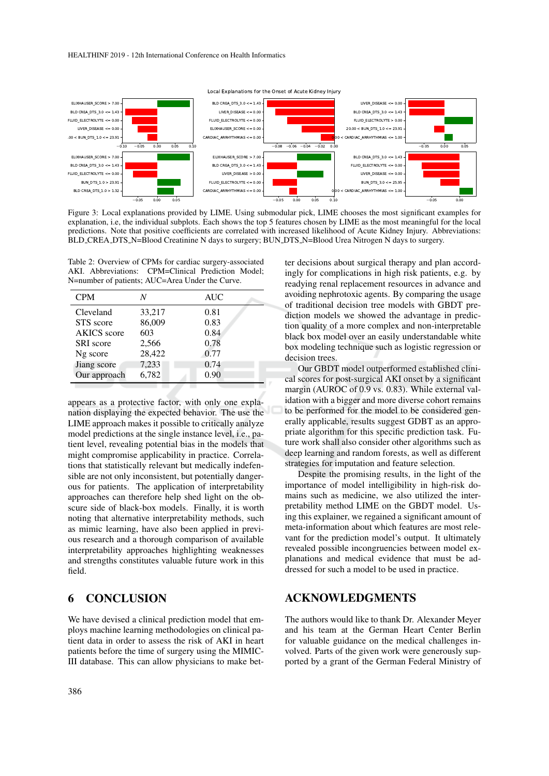

Figure 3: Local explanations provided by LIME. Using submodular pick, LIME chooses the most significant examples for explanation, i.e, the individual subplots. Each shows the top 5 features chosen by LIME as the most meaningful for the local predictions. Note that positive coefficients are correlated with increased likelihood of Acute Kidney Injury. Abbreviations: BLD CREA DTS N=Blood Creatinine N days to surgery; BUN DTS N=Blood Urea Nitrogen N days to surgery.

Table 2: Overview of CPMs for cardiac surgery-associated AKI. Abbreviations: CPM=Clinical Prediction Model; N=number of patients; AUC=Area Under the Curve.

| <b>CPM</b>         | N      | <b>AUC</b> |  |
|--------------------|--------|------------|--|
| Cleveland          | 33,217 | 0.81       |  |
| STS score          | 86,009 | 0.83       |  |
| <b>AKICS</b> score | 603    | 0.84       |  |
| <b>SRI</b> score   | 2,566  | 0.78       |  |
| Ng score           | 28,422 | 0.77       |  |
| Jiang score        | 7,233  | 0.74       |  |
| Our approach       | 6,782  | 0.90       |  |

appears as a protective factor, with only one explanation displaying the expected behavior. The use the LIME approach makes it possible to critically analyze model predictions at the single instance level, i.e., patient level, revealing potential bias in the models that might compromise applicability in practice. Correlations that statistically relevant but medically indefensible are not only inconsistent, but potentially dangerous for patients. The application of interpretability approaches can therefore help shed light on the obscure side of black-box models. Finally, it is worth noting that alternative interpretability methods, such as mimic learning, have also been applied in previous research and a thorough comparison of available interpretability approaches highlighting weaknesses and strengths constitutes valuable future work in this field.

### 6 CONCLUSION

We have devised a clinical prediction model that employs machine learning methodologies on clinical patient data in order to assess the risk of AKI in heart patients before the time of surgery using the MIMIC-III database. This can allow physicians to make better decisions about surgical therapy and plan accordingly for complications in high risk patients, e.g. by readying renal replacement resources in advance and avoiding nephrotoxic agents. By comparing the usage of traditional decision tree models with GBDT prediction models we showed the advantage in prediction quality of a more complex and non-interpretable black box model over an easily understandable white box modeling technique such as logistic regression or decision trees.

Our GBDT model outperformed established clinical scores for post-surgical AKI onset by a significant margin (AUROC of 0.9 vs. 0.83). While external validation with a bigger and more diverse cohort remains to be performed for the model to be considered generally applicable, results suggest GDBT as an appropriate algorithm for this specific prediction task. Future work shall also consider other algorithms such as deep learning and random forests, as well as different strategies for imputation and feature selection.

Despite the promising results, in the light of the importance of model intelligibility in high-risk domains such as medicine, we also utilized the interpretability method LIME on the GBDT model. Using this explainer, we regained a significant amount of meta-information about which features are most relevant for the prediction model's output. It ultimately revealed possible incongruencies between model explanations and medical evidence that must be addressed for such a model to be used in practice.

### ACKNOWLEDGMENTS

The authors would like to thank Dr. Alexander Meyer and his team at the German Heart Center Berlin for valuable guidance on the medical challenges involved. Parts of the given work were generously supported by a grant of the German Federal Ministry of